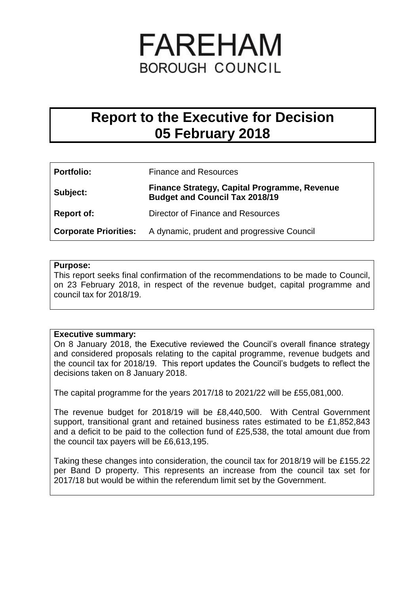# FAREHAM **BOROUGH COUNCIL**

# **Report to the Executive for Decision 05 February 2018**

| <b>Portfolio:</b> | <b>Finance and Resources</b>                                                                 |
|-------------------|----------------------------------------------------------------------------------------------|
| Subject:          | <b>Finance Strategy, Capital Programme, Revenue</b><br><b>Budget and Council Tax 2018/19</b> |
| <b>Report of:</b> | Director of Finance and Resources                                                            |
|                   | <b>Corporate Priorities:</b> A dynamic, prudent and progressive Council                      |

#### **Purpose:**

This report seeks final confirmation of the recommendations to be made to Council, on 23 February 2018, in respect of the revenue budget, capital programme and council tax for 2018/19.

#### **Executive summary:**

On 8 January 2018, the Executive reviewed the Council's overall finance strategy and considered proposals relating to the capital programme, revenue budgets and the council tax for 2018/19. This report updates the Council's budgets to reflect the decisions taken on 8 January 2018.

The capital programme for the years 2017/18 to 2021/22 will be £55,081,000.

The revenue budget for 2018/19 will be £8,440,500. With Central Government support, transitional grant and retained business rates estimated to be £1,852,843 and a deficit to be paid to the collection fund of £25,538, the total amount due from the council tax payers will be £6,613,195.

Taking these changes into consideration, the council tax for 2018/19 will be £155.22 per Band D property. This represents an increase from the council tax set for 2017/18 but would be within the referendum limit set by the Government.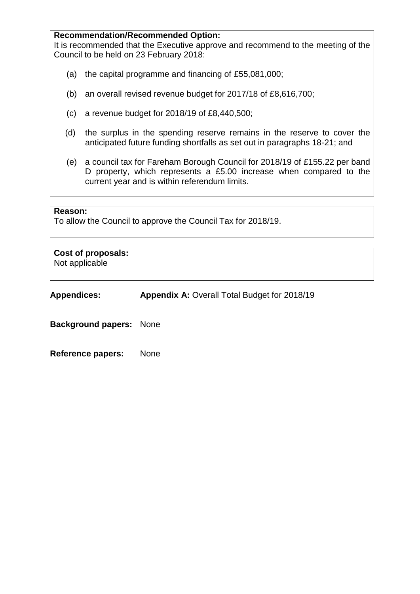#### **Recommendation/Recommended Option:**

It is recommended that the Executive approve and recommend to the meeting of the Council to be held on 23 February 2018:

- (a) the capital programme and financing of £55,081,000;
- (b) an overall revised revenue budget for 2017/18 of £8,616,700;
- (c) a revenue budget for 2018/19 of £8,440,500;
- (d) the surplus in the spending reserve remains in the reserve to cover the anticipated future funding shortfalls as set out in paragraphs 18-21; and
- (e) a council tax for Fareham Borough Council for 2018/19 of £155.22 per band D property, which represents a £5.00 increase when compared to the current year and is within referendum limits.

#### **Reason:**

To allow the Council to approve the Council Tax for 2018/19.

**Cost of proposals:** Not applicable

**Appendices: Appendix A: Overall Total Budget for 2018/19** 

**Background papers:** None

**Reference papers:** None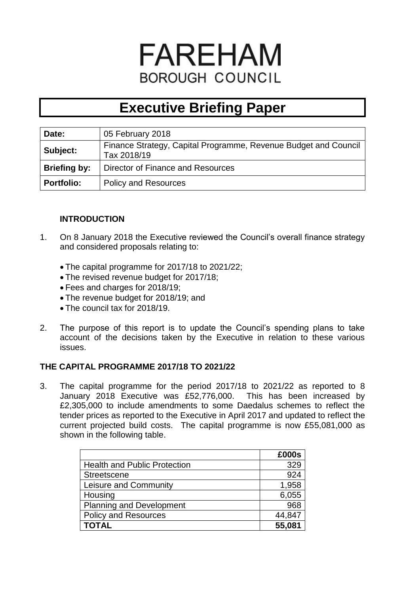# **FAREHAM BOROUGH COUNCIL**

# **Executive Briefing Paper**

| Date:               | 05 February 2018                                                               |
|---------------------|--------------------------------------------------------------------------------|
| Subject:            | Finance Strategy, Capital Programme, Revenue Budget and Council<br>Tax 2018/19 |
| <b>Briefing by:</b> | Director of Finance and Resources                                              |
| <b>Portfolio:</b>   | <b>Policy and Resources</b>                                                    |

# **INTRODUCTION**

- 1. On 8 January 2018 the Executive reviewed the Council's overall finance strategy and considered proposals relating to:
	- The capital programme for 2017/18 to 2021/22;
	- The revised revenue budget for 2017/18;
	- Fees and charges for 2018/19;
	- The revenue budget for 2018/19; and
	- The council tax for 2018/19.
- 2. The purpose of this report is to update the Council's spending plans to take account of the decisions taken by the Executive in relation to these various issues.

# **THE CAPITAL PROGRAMME 2017/18 TO 2021/22**

3. The capital programme for the period 2017/18 to 2021/22 as reported to 8 January 2018 Executive was £52,776,000. This has been increased by £2,305,000 to include amendments to some Daedalus schemes to reflect the tender prices as reported to the Executive in April 2017 and updated to reflect the current projected build costs. The capital programme is now £55,081,000 as shown in the following table.

|                                     | £000s  |
|-------------------------------------|--------|
| <b>Health and Public Protection</b> | 329    |
| <b>Streetscene</b>                  | 924    |
| Leisure and Community               | 1,958  |
| Housing                             | 6,055  |
| <b>Planning and Development</b>     | 968    |
| <b>Policy and Resources</b>         | 44,847 |
| <b>TOTAL</b>                        | 55,081 |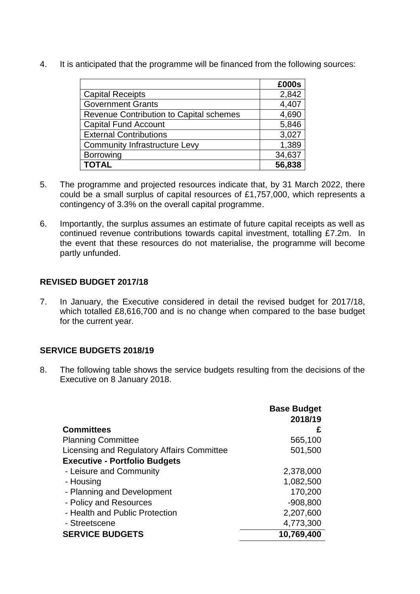4. It is anticipated that the programme will be financed from the following sources:

|                                         | £000s  |
|-----------------------------------------|--------|
| <b>Capital Receipts</b>                 | 2,842  |
| <b>Government Grants</b>                | 4,407  |
| Revenue Contribution to Capital schemes | 4,690  |
| <b>Capital Fund Account</b>             | 5,846  |
| <b>External Contributions</b>           | 3,027  |
| <b>Community Infrastructure Levy</b>    | 1,389  |
| <b>Borrowing</b>                        | 34,637 |
| <b>TOTAL</b>                            | 56,838 |

- 5. The programme and projected resources indicate that, by 31 March 2022, there could be a small surplus of capital resources of £1,757,000, which represents a contingency of 3.3% on the overall capital programme.
- 6. Importantly, the surplus assumes an estimate of future capital receipts as well as continued revenue contributions towards capital investment, totalling £7.2m. In the event that these resources do not materialise, the programme will become partly unfunded.

# **REVISED BUDGET 2017/18**

7. In January, the Executive considered in detail the revised budget for 2017/18, which totalled £8,616,700 and is no change when compared to the base budget for the current year.

# **SERVICE BUDGETS 2018/19**

8. The following table shows the service budgets resulting from the decisions of the Executive on 8 January 2018.

|                                            | <b>Base Budget</b><br>2018/19 |
|--------------------------------------------|-------------------------------|
| <b>Committees</b>                          | £                             |
| <b>Planning Committee</b>                  | 565,100                       |
| Licensing and Regulatory Affairs Committee | 501,500                       |
| <b>Executive - Portfolio Budgets</b>       |                               |
| - Leisure and Community                    | 2,378,000                     |
| - Housing                                  | 1,082,500                     |
| - Planning and Development                 | 170,200                       |
| - Policy and Resources                     | $-908,800$                    |
| - Health and Public Protection             | 2,207,600                     |
| - Streetscene                              | 4,773,300                     |
| <b>SERVICE BUDGETS</b>                     | 10,769,400                    |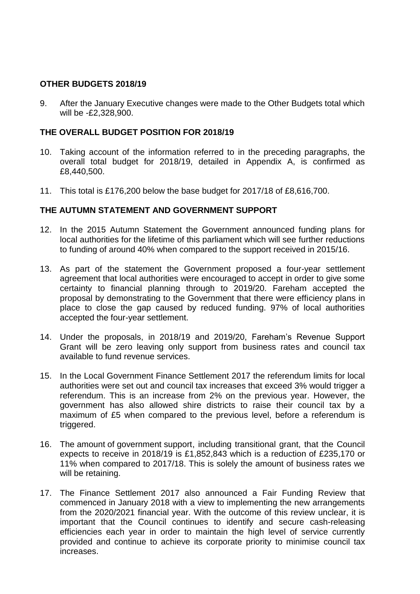#### **OTHER BUDGETS 2018/19**

9. After the January Executive changes were made to the Other Budgets total which will be -£2,328,900.

#### **THE OVERALL BUDGET POSITION FOR 2018/19**

- 10. Taking account of the information referred to in the preceding paragraphs, the overall total budget for 2018/19, detailed in Appendix A, is confirmed as £8,440,500.
- 11. This total is £176,200 below the base budget for 2017/18 of £8,616,700.

#### **THE AUTUMN STATEMENT AND GOVERNMENT SUPPORT**

- 12. In the 2015 Autumn Statement the Government announced funding plans for local authorities for the lifetime of this parliament which will see further reductions to funding of around 40% when compared to the support received in 2015/16.
- 13. As part of the statement the Government proposed a four-year settlement agreement that local authorities were encouraged to accept in order to give some certainty to financial planning through to 2019/20. Fareham accepted the proposal by demonstrating to the Government that there were efficiency plans in place to close the gap caused by reduced funding. 97% of local authorities accepted the four-year settlement.
- 14. Under the proposals, in 2018/19 and 2019/20, Fareham's Revenue Support Grant will be zero leaving only support from business rates and council tax available to fund revenue services.
- 15. In the Local Government Finance Settlement 2017 the referendum limits for local authorities were set out and council tax increases that exceed 3% would trigger a referendum. This is an increase from 2% on the previous year. However, the government has also allowed shire districts to raise their council tax by a maximum of £5 when compared to the previous level, before a referendum is triggered.
- 16. The amount of government support, including transitional grant, that the Council expects to receive in 2018/19 is £1,852,843 which is a reduction of £235,170 or 11% when compared to 2017/18. This is solely the amount of business rates we will be retaining.
- 17. The Finance Settlement 2017 also announced a Fair Funding Review that commenced in January 2018 with a view to implementing the new arrangements from the 2020/2021 financial year. With the outcome of this review unclear, it is important that the Council continues to identify and secure cash-releasing efficiencies each year in order to maintain the high level of service currently provided and continue to achieve its corporate priority to minimise council tax increases.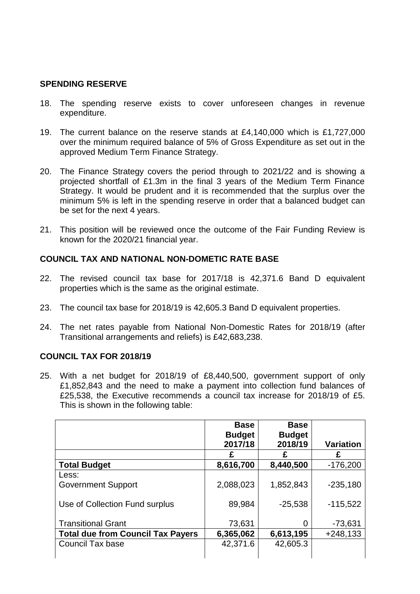#### **SPENDING RESERVE**

- 18. The spending reserve exists to cover unforeseen changes in revenue expenditure.
- 19. The current balance on the reserve stands at £4,140,000 which is £1,727,000 over the minimum required balance of 5% of Gross Expenditure as set out in the approved Medium Term Finance Strategy.
- 20. The Finance Strategy covers the period through to 2021/22 and is showing a projected shortfall of £1.3m in the final 3 years of the Medium Term Finance Strategy. It would be prudent and it is recommended that the surplus over the minimum 5% is left in the spending reserve in order that a balanced budget can be set for the next 4 years.
- 21. This position will be reviewed once the outcome of the Fair Funding Review is known for the 2020/21 financial year.

#### **COUNCIL TAX AND NATIONAL NON-DOMETIC RATE BASE**

- 22. The revised council tax base for 2017/18 is 42,371.6 Band D equivalent properties which is the same as the original estimate.
- 23. The council tax base for 2018/19 is 42,605.3 Band D equivalent properties.
- 24. The net rates payable from National Non-Domestic Rates for 2018/19 (after Transitional arrangements and reliefs) is £42,683,238.

#### **COUNCIL TAX FOR 2018/19**

25. With a net budget for 2018/19 of £8,440,500, government support of only £1,852,843 and the need to make a payment into collection fund balances of £25,538, the Executive recommends a council tax increase for 2018/19 of £5. This is shown in the following table:

|                                          | <b>Base</b><br><b>Budget</b><br>2017/18 | <b>Base</b><br><b>Budget</b><br>2018/19 | <b>Variation</b> |
|------------------------------------------|-----------------------------------------|-----------------------------------------|------------------|
|                                          |                                         | £                                       |                  |
| <b>Total Budget</b>                      | 8,616,700                               | 8,440,500                               | $-176,200$       |
| Less:                                    |                                         |                                         |                  |
| <b>Government Support</b>                | 2,088,023                               | 1,852,843                               | $-235,180$       |
| Use of Collection Fund surplus           | 89,984                                  | $-25,538$                               | $-115,522$       |
| <b>Transitional Grant</b>                | 73,631                                  | 0                                       | $-73,631$        |
| <b>Total due from Council Tax Payers</b> | 6,365,062                               | 6,613,195                               | $+248,133$       |
| Council Tax base                         | 42,371.6                                | 42,605.3                                |                  |
|                                          |                                         |                                         |                  |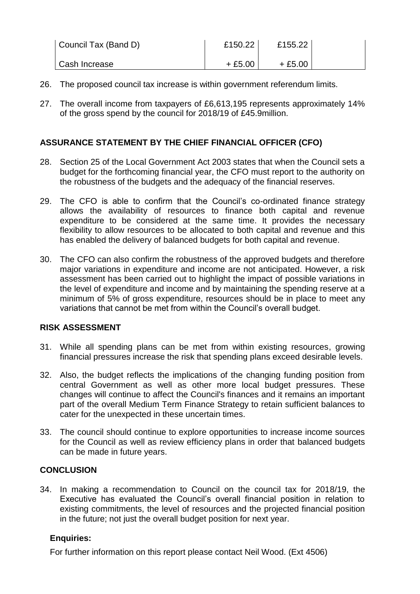| Council Tax (Band D) | £150.22  | £155.22  |  |
|----------------------|----------|----------|--|
| Cash Increase        | $+£5.00$ | $+£5.00$ |  |

- 26. The proposed council tax increase is within government referendum limits.
- 27. The overall income from taxpayers of £6,613,195 represents approximately 14% of the gross spend by the council for 2018/19 of £45.9million.

# **ASSURANCE STATEMENT BY THE CHIEF FINANCIAL OFFICER (CFO)**

- 28. Section 25 of the Local Government Act 2003 states that when the Council sets a budget for the forthcoming financial year, the CFO must report to the authority on the robustness of the budgets and the adequacy of the financial reserves.
- 29. The CFO is able to confirm that the Council's co-ordinated finance strategy allows the availability of resources to finance both capital and revenue expenditure to be considered at the same time. It provides the necessary flexibility to allow resources to be allocated to both capital and revenue and this has enabled the delivery of balanced budgets for both capital and revenue.
- 30. The CFO can also confirm the robustness of the approved budgets and therefore major variations in expenditure and income are not anticipated. However, a risk assessment has been carried out to highlight the impact of possible variations in the level of expenditure and income and by maintaining the spending reserve at a minimum of 5% of gross expenditure, resources should be in place to meet any variations that cannot be met from within the Council's overall budget.

#### **RISK ASSESSMENT**

- 31. While all spending plans can be met from within existing resources, growing financial pressures increase the risk that spending plans exceed desirable levels.
- 32. Also, the budget reflects the implications of the changing funding position from central Government as well as other more local budget pressures. These changes will continue to affect the Council's finances and it remains an important part of the overall Medium Term Finance Strategy to retain sufficient balances to cater for the unexpected in these uncertain times.
- 33. The council should continue to explore opportunities to increase income sources for the Council as well as review efficiency plans in order that balanced budgets can be made in future years.

# **CONCLUSION**

34. In making a recommendation to Council on the council tax for 2018/19, the Executive has evaluated the Council's overall financial position in relation to existing commitments, the level of resources and the projected financial position in the future; not just the overall budget position for next year.

# **Enquiries:**

For further information on this report please contact Neil Wood. (Ext 4506)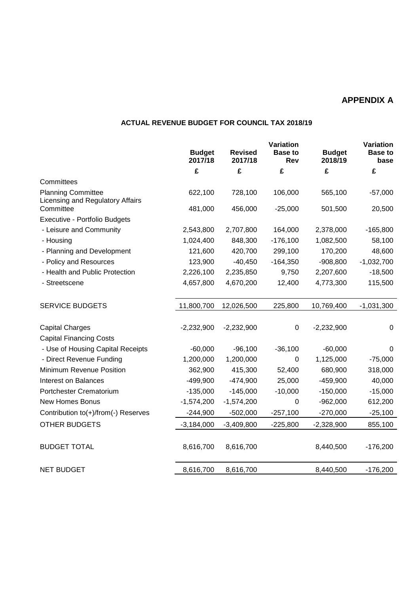# **APPENDIX A**

#### **ACTUAL REVENUE BUDGET FOR COUNCIL TAX 2018/19**

|                                                               | Variation                |                           |                       |                          | Variation              |
|---------------------------------------------------------------|--------------------------|---------------------------|-----------------------|--------------------------|------------------------|
|                                                               | <b>Budget</b><br>2017/18 | <b>Revised</b><br>2017/18 | <b>Base to</b><br>Rev | <b>Budget</b><br>2018/19 | <b>Base to</b><br>base |
|                                                               | £                        | £                         | £                     | £                        | £                      |
| Committees                                                    |                          |                           |                       |                          |                        |
| <b>Planning Committee</b><br>Licensing and Regulatory Affairs | 622,100                  | 728,100                   | 106,000               | 565,100                  | $-57,000$              |
| Committee                                                     | 481,000                  | 456,000                   | $-25,000$             | 501,500                  | 20,500                 |
| Executive - Portfolio Budgets                                 |                          |                           |                       |                          |                        |
| - Leisure and Community                                       | 2,543,800                | 2,707,800                 | 164,000               | 2,378,000                | $-165,800$             |
| - Housing                                                     | 1,024,400                | 848,300                   | $-176,100$            | 1,082,500                | 58,100                 |
| - Planning and Development                                    | 121,600                  | 420,700                   | 299,100               | 170,200                  | 48,600                 |
| - Policy and Resources                                        | 123,900                  | $-40,450$                 | $-164,350$            | $-908,800$               | $-1,032,700$           |
| - Health and Public Protection                                | 2,226,100                | 2,235,850                 | 9,750                 | 2,207,600                | $-18,500$              |
| - Streetscene                                                 | 4,657,800                | 4,670,200                 | 12,400                | 4,773,300                | 115,500                |
| <b>SERVICE BUDGETS</b>                                        | 11,800,700               | 12,026,500                | 225,800               | 10,769,400               | $-1,031,300$           |
| <b>Capital Charges</b>                                        | $-2,232,900$             | $-2,232,900$              | $\boldsymbol{0}$      | $-2,232,900$             | 0                      |
| <b>Capital Financing Costs</b>                                |                          |                           |                       |                          |                        |
| - Use of Housing Capital Receipts                             | $-60,000$                | $-96,100$                 | $-36,100$             | $-60,000$                | 0                      |
| - Direct Revenue Funding                                      | 1,200,000                | 1,200,000                 | 0                     | 1,125,000                | $-75,000$              |
| Minimum Revenue Position                                      | 362,900                  | 415,300                   | 52,400                | 680,900                  | 318,000                |
| <b>Interest on Balances</b>                                   | $-499,900$               | $-474,900$                | 25,000                | $-459,900$               | 40,000                 |
| Portchester Crematorium                                       | $-135,000$               | $-145,000$                | $-10,000$             | $-150,000$               | $-15,000$              |
| New Homes Bonus                                               | $-1,574,200$             | $-1,574,200$              | 0                     | $-962,000$               | 612,200                |
| Contribution to(+)/from(-) Reserves                           | $-244,900$               | $-502,000$                | $-257,100$            | $-270,000$               | $-25,100$              |
| <b>OTHER BUDGETS</b>                                          | $-3,184,000$             | $-3,409,800$              | $-225,800$            | $-2,328,900$             | 855,100                |
| <b>BUDGET TOTAL</b>                                           | 8,616,700                | 8,616,700                 |                       | 8,440,500                | $-176,200$             |
| <b>NET BUDGET</b>                                             | 8,616,700                | 8,616,700                 |                       | 8,440,500                | $-176,200$             |
|                                                               |                          |                           |                       |                          |                        |